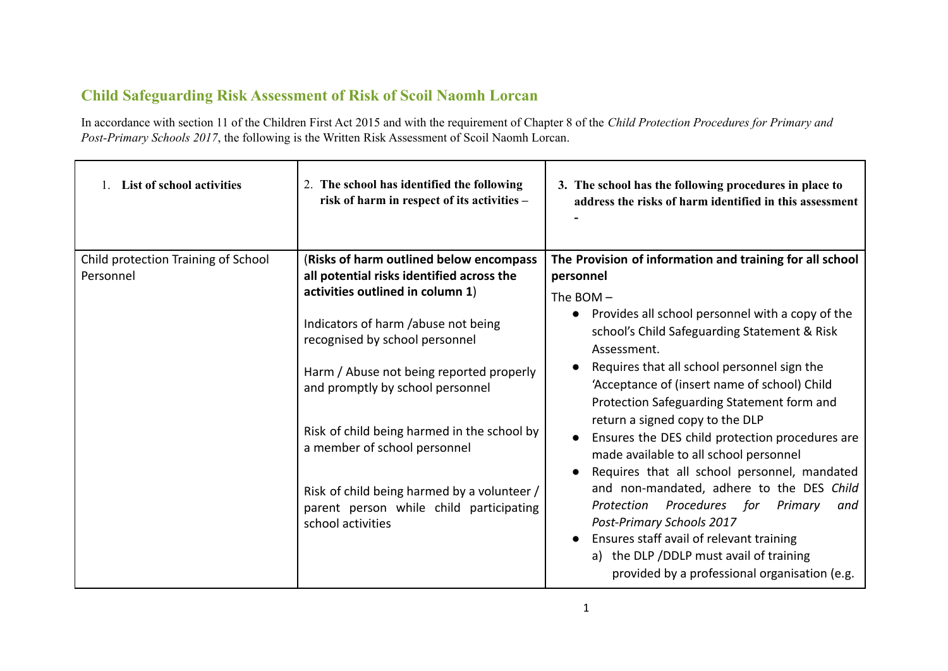## **Child Safeguarding Risk Assessment of Risk of Scoil Naomh Lorcan**

In accordance with section 11 of the Children First Act 2015 and with the requirement of Chapter 8 of the *Child Protection Procedures for Primary and Post-Primary Schools 2017*, the following is the Written Risk Assessment of Scoil Naomh Lorcan.

| <b>List of school activities</b>                 | 2. The school has identified the following<br>risk of harm in respect of its activities -                                                                                                         | 3. The school has the following procedures in place to<br>address the risks of harm identified in this assessment                                                                                                                                                           |
|--------------------------------------------------|---------------------------------------------------------------------------------------------------------------------------------------------------------------------------------------------------|-----------------------------------------------------------------------------------------------------------------------------------------------------------------------------------------------------------------------------------------------------------------------------|
| Child protection Training of School<br>Personnel | (Risks of harm outlined below encompass<br>all potential risks identified across the<br>activities outlined in column 1)<br>Indicators of harm /abuse not being<br>recognised by school personnel | The Provision of information and training for all school<br>personnel<br>The BOM $-$<br>Provides all school personnel with a copy of the<br>school's Child Safeguarding Statement & Risk<br>Assessment.                                                                     |
|                                                  | Harm / Abuse not being reported properly<br>and promptly by school personnel                                                                                                                      | Requires that all school personnel sign the<br>'Acceptance of (insert name of school) Child<br>Protection Safeguarding Statement form and                                                                                                                                   |
|                                                  | Risk of child being harmed in the school by<br>a member of school personnel<br>Risk of child being harmed by a volunteer /<br>parent person while child participating                             | return a signed copy to the DLP<br>Ensures the DES child protection procedures are<br>made available to all school personnel<br>Requires that all school personnel, mandated<br>and non-mandated, adhere to the DES Child<br>Procedures for<br>Protection<br>Primary<br>and |
|                                                  | school activities                                                                                                                                                                                 | Post-Primary Schools 2017<br>Ensures staff avail of relevant training<br>a) the DLP /DDLP must avail of training<br>provided by a professional organisation (e.g.                                                                                                           |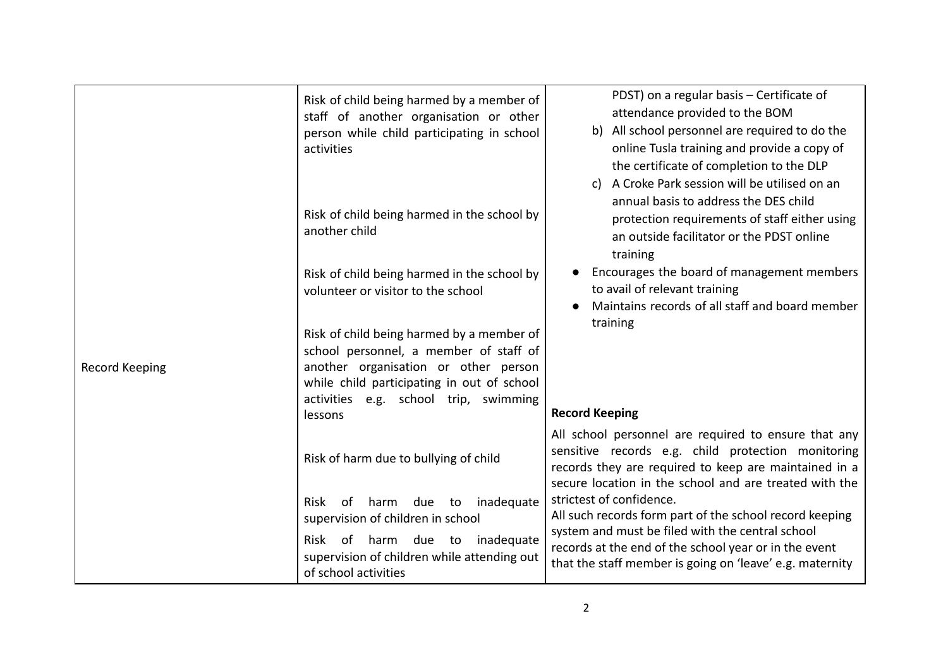|                | Risk of child being harmed by a member of<br>staff of another organisation or other<br>person while child participating in school<br>activities                                                                               | PDST) on a regular basis - Certificate of<br>attendance provided to the BOM<br>All school personnel are required to do the<br>b)<br>online Tusla training and provide a copy of<br>the certificate of completion to the DLP                                  |
|----------------|-------------------------------------------------------------------------------------------------------------------------------------------------------------------------------------------------------------------------------|--------------------------------------------------------------------------------------------------------------------------------------------------------------------------------------------------------------------------------------------------------------|
|                | Risk of child being harmed in the school by<br>another child                                                                                                                                                                  | A Croke Park session will be utilised on an<br>C)<br>annual basis to address the DES child<br>protection requirements of staff either using<br>an outside facilitator or the PDST online<br>training                                                         |
|                | Risk of child being harmed in the school by<br>volunteer or visitor to the school                                                                                                                                             | Encourages the board of management members<br>to avail of relevant training<br>Maintains records of all staff and board member                                                                                                                               |
| Record Keeping | Risk of child being harmed by a member of<br>school personnel, a member of staff of<br>another organisation or other person<br>while child participating in out of school<br>activities e.g. school trip, swimming<br>lessons | training<br><b>Record Keeping</b>                                                                                                                                                                                                                            |
|                | Risk of harm due to bullying of child                                                                                                                                                                                         | All school personnel are required to ensure that any<br>sensitive records e.g. child protection monitoring<br>records they are required to keep are maintained in a<br>secure location in the school and are treated with the                                |
|                | inadequate<br>Risk<br>of harm due to<br>supervision of children in school<br>Risk of harm due to inadequate<br>supervision of children while attending out<br>of school activities                                            | strictest of confidence.<br>All such records form part of the school record keeping<br>system and must be filed with the central school<br>records at the end of the school year or in the event<br>that the staff member is going on 'leave' e.g. maternity |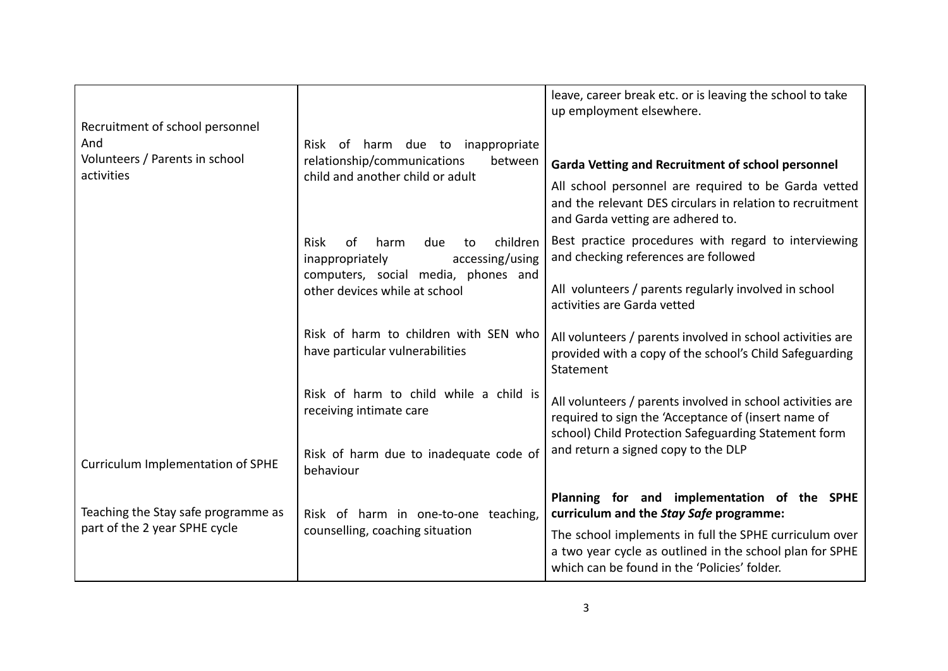| Recruitment of school personnel<br>And<br>Volunteers / Parents in school<br>activities | Risk of harm due to inappropriate<br>relationship/communications<br>between<br>child and another child or adult                 | leave, career break etc. or is leaving the school to take<br>up employment elsewhere.<br><b>Garda Vetting and Recruitment of school personnel</b>                         |
|----------------------------------------------------------------------------------------|---------------------------------------------------------------------------------------------------------------------------------|---------------------------------------------------------------------------------------------------------------------------------------------------------------------------|
|                                                                                        |                                                                                                                                 | All school personnel are required to be Garda vetted<br>and the relevant DES circulars in relation to recruitment<br>and Garda vetting are adhered to.                    |
|                                                                                        | <b>Risk</b><br>children<br>harm<br>due<br>of<br>to<br>inappropriately<br>accessing/using<br>computers, social media, phones and | Best practice procedures with regard to interviewing<br>and checking references are followed                                                                              |
|                                                                                        | other devices while at school                                                                                                   | All volunteers / parents regularly involved in school<br>activities are Garda vetted                                                                                      |
|                                                                                        | Risk of harm to children with SEN who<br>have particular vulnerabilities                                                        | All volunteers / parents involved in school activities are<br>provided with a copy of the school's Child Safeguarding<br>Statement                                        |
|                                                                                        | Risk of harm to child while a child is<br>receiving intimate care                                                               | All volunteers / parents involved in school activities are<br>required to sign the 'Acceptance of (insert name of<br>school) Child Protection Safeguarding Statement form |
| Curriculum Implementation of SPHE                                                      | Risk of harm due to inadequate code of<br>behaviour                                                                             | and return a signed copy to the DLP                                                                                                                                       |
| Teaching the Stay safe programme as                                                    | Risk of harm in one-to-one teaching,                                                                                            | Planning for and implementation of the SPHE<br>curriculum and the Stay Safe programme:                                                                                    |
| part of the 2 year SPHE cycle                                                          | counselling, coaching situation                                                                                                 | The school implements in full the SPHE curriculum over<br>a two year cycle as outlined in the school plan for SPHE<br>which can be found in the 'Policies' folder.        |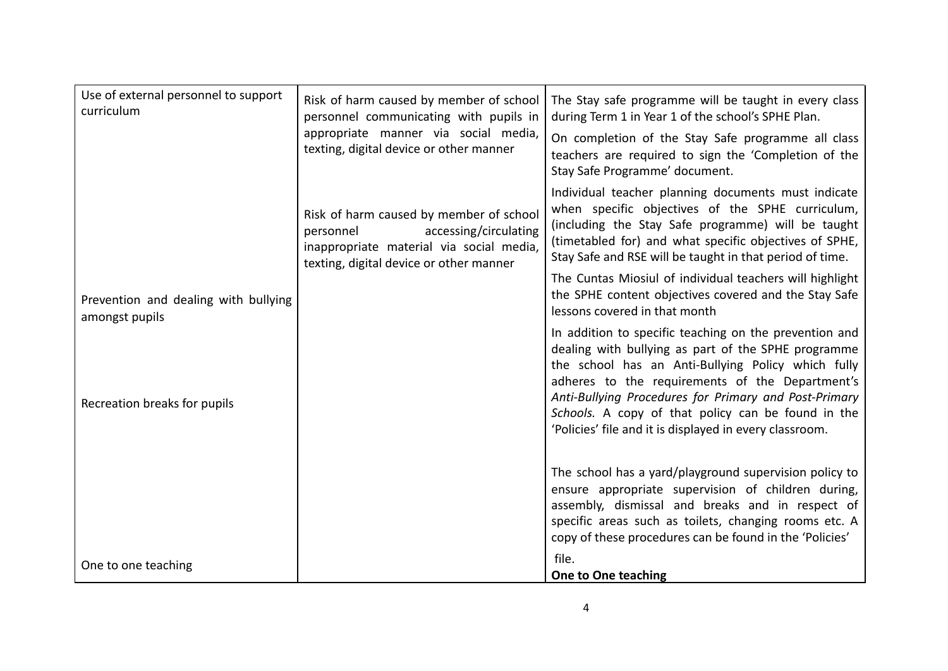| Use of external personnel to support<br>curriculum     | Risk of harm caused by member of school<br>personnel communicating with pupils in<br>appropriate manner via social media,<br>texting, digital device or other manner | The Stay safe programme will be taught in every class<br>during Term 1 in Year 1 of the school's SPHE Plan.<br>On completion of the Stay Safe programme all class<br>teachers are required to sign the 'Completion of the<br>Stay Safe Programme' document.                                                                           |
|--------------------------------------------------------|----------------------------------------------------------------------------------------------------------------------------------------------------------------------|---------------------------------------------------------------------------------------------------------------------------------------------------------------------------------------------------------------------------------------------------------------------------------------------------------------------------------------|
|                                                        | Risk of harm caused by member of school<br>accessing/circulating<br>personnel<br>inappropriate material via social media,<br>texting, digital device or other manner | Individual teacher planning documents must indicate<br>when specific objectives of the SPHE curriculum,<br>(including the Stay Safe programme) will be taught<br>(timetabled for) and what specific objectives of SPHE,<br>Stay Safe and RSE will be taught in that period of time.                                                   |
| Prevention and dealing with bullying<br>amongst pupils |                                                                                                                                                                      | The Cuntas Miosiul of individual teachers will highlight<br>the SPHE content objectives covered and the Stay Safe<br>lessons covered in that month                                                                                                                                                                                    |
| Recreation breaks for pupils                           |                                                                                                                                                                      | In addition to specific teaching on the prevention and<br>dealing with bullying as part of the SPHE programme<br>the school has an Anti-Bullying Policy which fully<br>adheres to the requirements of the Department's<br>Anti-Bullying Procedures for Primary and Post-Primary<br>Schools. A copy of that policy can be found in the |
|                                                        |                                                                                                                                                                      | 'Policies' file and it is displayed in every classroom.                                                                                                                                                                                                                                                                               |
|                                                        |                                                                                                                                                                      | The school has a yard/playground supervision policy to<br>ensure appropriate supervision of children during,<br>assembly, dismissal and breaks and in respect of<br>specific areas such as toilets, changing rooms etc. A<br>copy of these procedures can be found in the 'Policies'                                                  |
| One to one teaching                                    |                                                                                                                                                                      | file.<br><b>One to One teaching</b>                                                                                                                                                                                                                                                                                                   |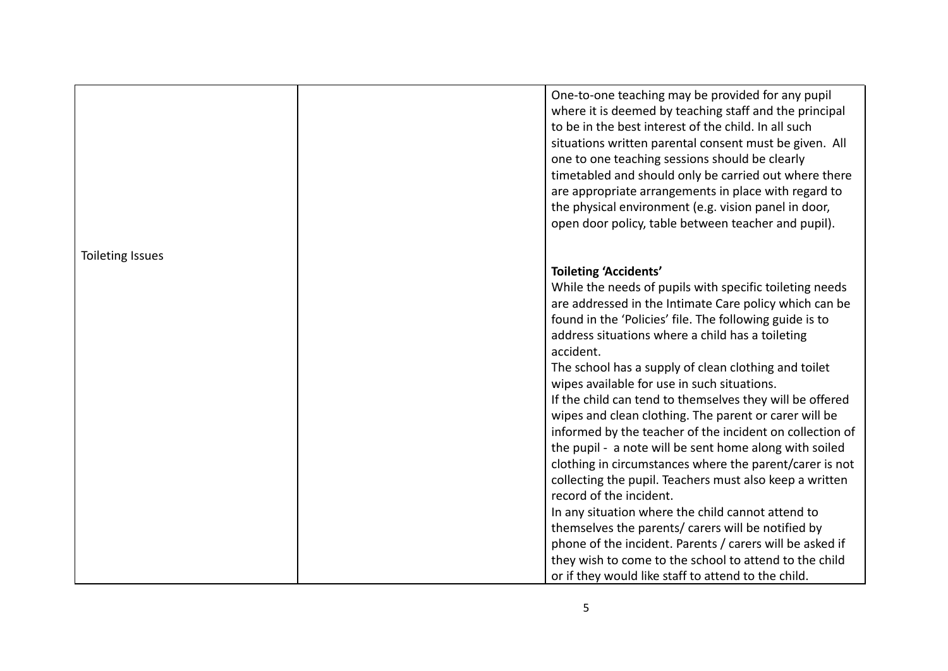|                  | One-to-one teaching may be provided for any pupil<br>where it is deemed by teaching staff and the principal<br>to be in the best interest of the child. In all such<br>situations written parental consent must be given. All<br>one to one teaching sessions should be clearly<br>timetabled and should only be carried out where there |  |
|------------------|------------------------------------------------------------------------------------------------------------------------------------------------------------------------------------------------------------------------------------------------------------------------------------------------------------------------------------------|--|
|                  | are appropriate arrangements in place with regard to<br>the physical environment (e.g. vision panel in door,<br>open door policy, table between teacher and pupil).                                                                                                                                                                      |  |
| Toileting Issues |                                                                                                                                                                                                                                                                                                                                          |  |
|                  | <b>Toileting 'Accidents'</b>                                                                                                                                                                                                                                                                                                             |  |
|                  | While the needs of pupils with specific toileting needs                                                                                                                                                                                                                                                                                  |  |
|                  | are addressed in the Intimate Care policy which can be                                                                                                                                                                                                                                                                                   |  |
|                  | found in the 'Policies' file. The following guide is to<br>address situations where a child has a toileting                                                                                                                                                                                                                              |  |
|                  | accident.                                                                                                                                                                                                                                                                                                                                |  |
|                  | The school has a supply of clean clothing and toilet                                                                                                                                                                                                                                                                                     |  |
|                  | wipes available for use in such situations.<br>If the child can tend to themselves they will be offered                                                                                                                                                                                                                                  |  |
|                  | wipes and clean clothing. The parent or carer will be                                                                                                                                                                                                                                                                                    |  |
|                  | informed by the teacher of the incident on collection of                                                                                                                                                                                                                                                                                 |  |
|                  | the pupil - a note will be sent home along with soiled                                                                                                                                                                                                                                                                                   |  |
|                  | clothing in circumstances where the parent/carer is not                                                                                                                                                                                                                                                                                  |  |
|                  | collecting the pupil. Teachers must also keep a written<br>record of the incident.                                                                                                                                                                                                                                                       |  |
|                  | In any situation where the child cannot attend to                                                                                                                                                                                                                                                                                        |  |
|                  | themselves the parents/ carers will be notified by                                                                                                                                                                                                                                                                                       |  |
|                  | phone of the incident. Parents / carers will be asked if                                                                                                                                                                                                                                                                                 |  |
|                  | they wish to come to the school to attend to the child                                                                                                                                                                                                                                                                                   |  |
|                  | or if they would like staff to attend to the child.                                                                                                                                                                                                                                                                                      |  |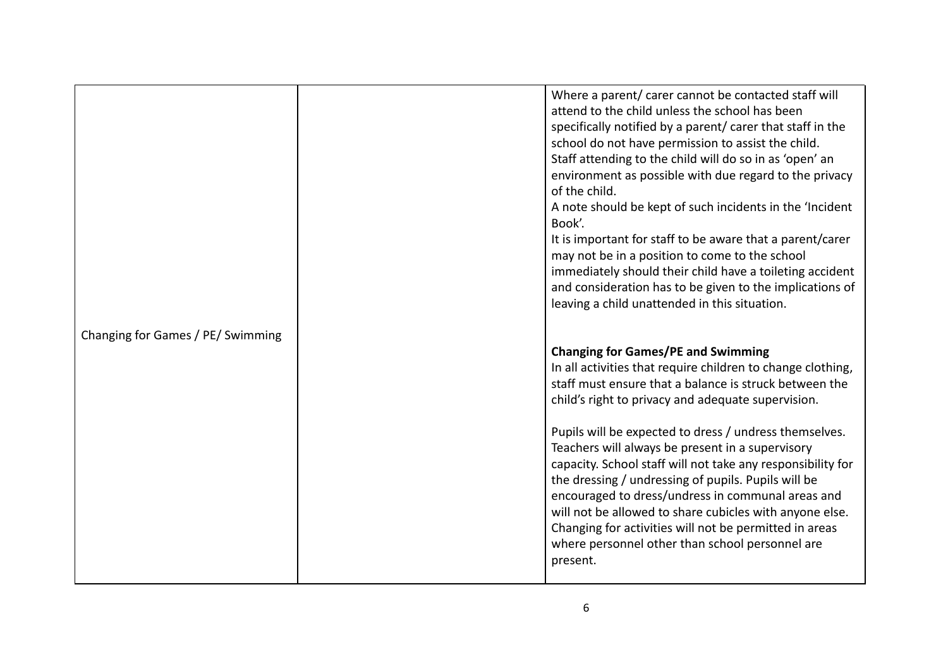|                                   | Where a parent/ carer cannot be contacted staff will        |
|-----------------------------------|-------------------------------------------------------------|
|                                   | attend to the child unless the school has been              |
|                                   | specifically notified by a parent/ carer that staff in the  |
|                                   | school do not have permission to assist the child.          |
|                                   | Staff attending to the child will do so in as 'open' an     |
|                                   | environment as possible with due regard to the privacy      |
|                                   | of the child.                                               |
|                                   | A note should be kept of such incidents in the 'Incident    |
|                                   | Book'.                                                      |
|                                   | It is important for staff to be aware that a parent/carer   |
|                                   | may not be in a position to come to the school              |
|                                   | immediately should their child have a toileting accident    |
|                                   | and consideration has to be given to the implications of    |
|                                   | leaving a child unattended in this situation.               |
|                                   |                                                             |
| Changing for Games / PE/ Swimming |                                                             |
|                                   | <b>Changing for Games/PE and Swimming</b>                   |
|                                   | In all activities that require children to change clothing, |
|                                   | staff must ensure that a balance is struck between the      |
|                                   | child's right to privacy and adequate supervision.          |
|                                   |                                                             |
|                                   | Pupils will be expected to dress / undress themselves.      |
|                                   | Teachers will always be present in a supervisory            |
|                                   | capacity. School staff will not take any responsibility for |
|                                   | the dressing / undressing of pupils. Pupils will be         |
|                                   | encouraged to dress/undress in communal areas and           |
|                                   | will not be allowed to share cubicles with anyone else.     |
|                                   | Changing for activities will not be permitted in areas      |
|                                   | where personnel other than school personnel are             |
|                                   | present.                                                    |
|                                   |                                                             |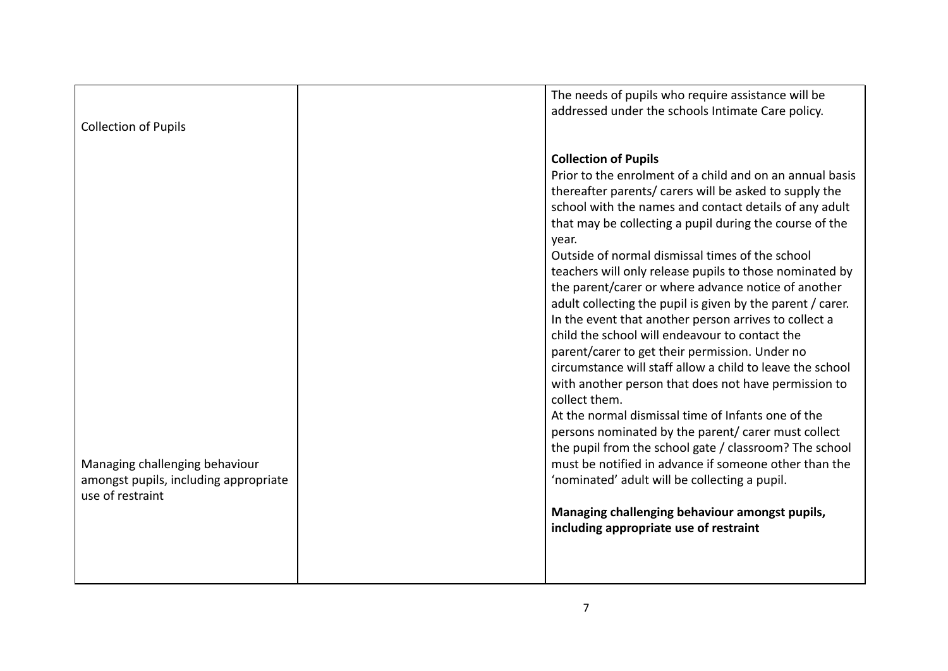| <b>Collection of Pupils</b>                                                                 | The needs of pupils who require assistance will be<br>addressed under the schools Intimate Care policy.                                                                                                                                                                                                                                                                                                                                                                                                                                                                                                                                                                                                                                                                                                                                                                                                                                                                                                                                                                                                                                                                                            |
|---------------------------------------------------------------------------------------------|----------------------------------------------------------------------------------------------------------------------------------------------------------------------------------------------------------------------------------------------------------------------------------------------------------------------------------------------------------------------------------------------------------------------------------------------------------------------------------------------------------------------------------------------------------------------------------------------------------------------------------------------------------------------------------------------------------------------------------------------------------------------------------------------------------------------------------------------------------------------------------------------------------------------------------------------------------------------------------------------------------------------------------------------------------------------------------------------------------------------------------------------------------------------------------------------------|
| Managing challenging behaviour<br>amongst pupils, including appropriate<br>use of restraint | <b>Collection of Pupils</b><br>Prior to the enrolment of a child and on an annual basis<br>thereafter parents/ carers will be asked to supply the<br>school with the names and contact details of any adult<br>that may be collecting a pupil during the course of the<br>year.<br>Outside of normal dismissal times of the school<br>teachers will only release pupils to those nominated by<br>the parent/carer or where advance notice of another<br>adult collecting the pupil is given by the parent / carer.<br>In the event that another person arrives to collect a<br>child the school will endeavour to contact the<br>parent/carer to get their permission. Under no<br>circumstance will staff allow a child to leave the school<br>with another person that does not have permission to<br>collect them.<br>At the normal dismissal time of Infants one of the<br>persons nominated by the parent/ carer must collect<br>the pupil from the school gate / classroom? The school<br>must be notified in advance if someone other than the<br>'nominated' adult will be collecting a pupil.<br>Managing challenging behaviour amongst pupils,<br>including appropriate use of restraint |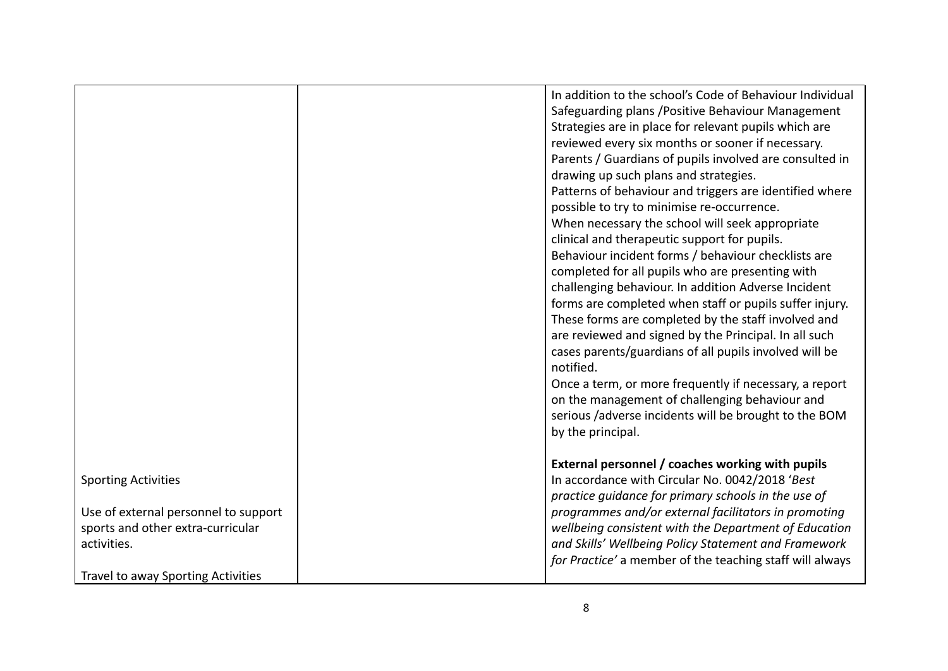|                                      | In addition to the school's Code of Behaviour Individual |
|--------------------------------------|----------------------------------------------------------|
|                                      | Safeguarding plans / Positive Behaviour Management       |
|                                      | Strategies are in place for relevant pupils which are    |
|                                      | reviewed every six months or sooner if necessary.        |
|                                      | Parents / Guardians of pupils involved are consulted in  |
|                                      | drawing up such plans and strategies.                    |
|                                      | Patterns of behaviour and triggers are identified where  |
|                                      | possible to try to minimise re-occurrence.               |
|                                      | When necessary the school will seek appropriate          |
|                                      | clinical and therapeutic support for pupils.             |
|                                      | Behaviour incident forms / behaviour checklists are      |
|                                      | completed for all pupils who are presenting with         |
|                                      | challenging behaviour. In addition Adverse Incident      |
|                                      | forms are completed when staff or pupils suffer injury.  |
|                                      | These forms are completed by the staff involved and      |
|                                      | are reviewed and signed by the Principal. In all such    |
|                                      | cases parents/guardians of all pupils involved will be   |
|                                      | notified.                                                |
|                                      | Once a term, or more frequently if necessary, a report   |
|                                      | on the management of challenging behaviour and           |
|                                      | serious /adverse incidents will be brought to the BOM    |
|                                      | by the principal.                                        |
|                                      |                                                          |
|                                      | External personnel / coaches working with pupils         |
| <b>Sporting Activities</b>           | In accordance with Circular No. 0042/2018 'Best          |
|                                      | practice guidance for primary schools in the use of      |
| Use of external personnel to support | programmes and/or external facilitators in promoting     |
| sports and other extra-curricular    | wellbeing consistent with the Department of Education    |
| activities.                          | and Skills' Wellbeing Policy Statement and Framework     |
|                                      | for Practice' a member of the teaching staff will always |
| Travel to away Sporting Activities   |                                                          |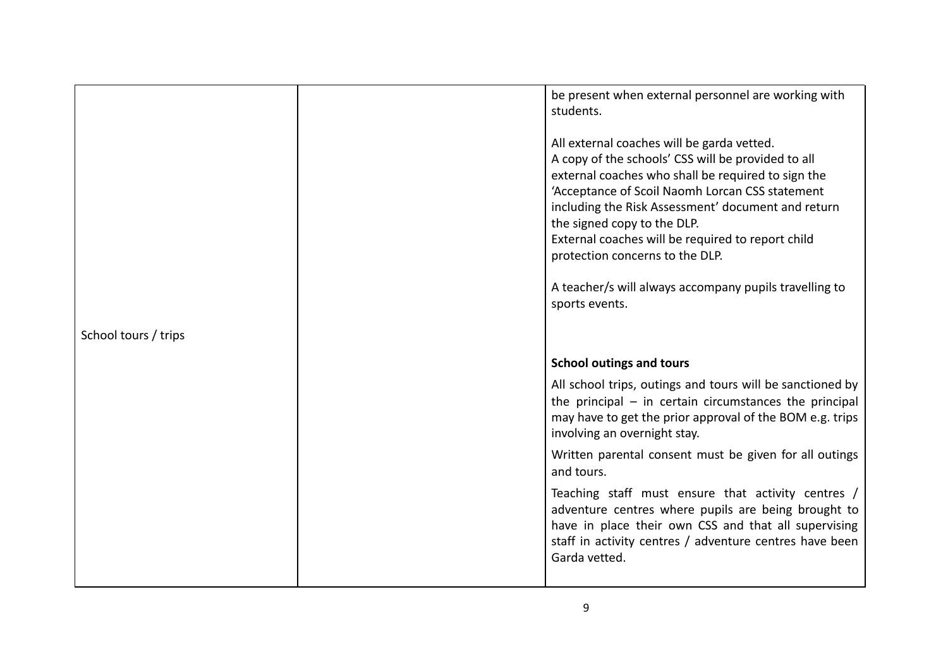|                      | be present when external personnel are working with<br>students.<br>All external coaches will be garda vetted.<br>A copy of the schools' CSS will be provided to all<br>external coaches who shall be required to sign the<br>'Acceptance of Scoil Naomh Lorcan CSS statement<br>including the Risk Assessment' document and return<br>the signed copy to the DLP.<br>External coaches will be required to report child |
|----------------------|-------------------------------------------------------------------------------------------------------------------------------------------------------------------------------------------------------------------------------------------------------------------------------------------------------------------------------------------------------------------------------------------------------------------------|
| School tours / trips | protection concerns to the DLP.<br>A teacher/s will always accompany pupils travelling to<br>sports events.                                                                                                                                                                                                                                                                                                             |
|                      | <b>School outings and tours</b>                                                                                                                                                                                                                                                                                                                                                                                         |
|                      | All school trips, outings and tours will be sanctioned by<br>the principal $-$ in certain circumstances the principal<br>may have to get the prior approval of the BOM e.g. trips<br>involving an overnight stay.                                                                                                                                                                                                       |
|                      | Written parental consent must be given for all outings<br>and tours.                                                                                                                                                                                                                                                                                                                                                    |
|                      | Teaching staff must ensure that activity centres /<br>adventure centres where pupils are being brought to<br>have in place their own CSS and that all supervising<br>staff in activity centres / adventure centres have been<br>Garda vetted.                                                                                                                                                                           |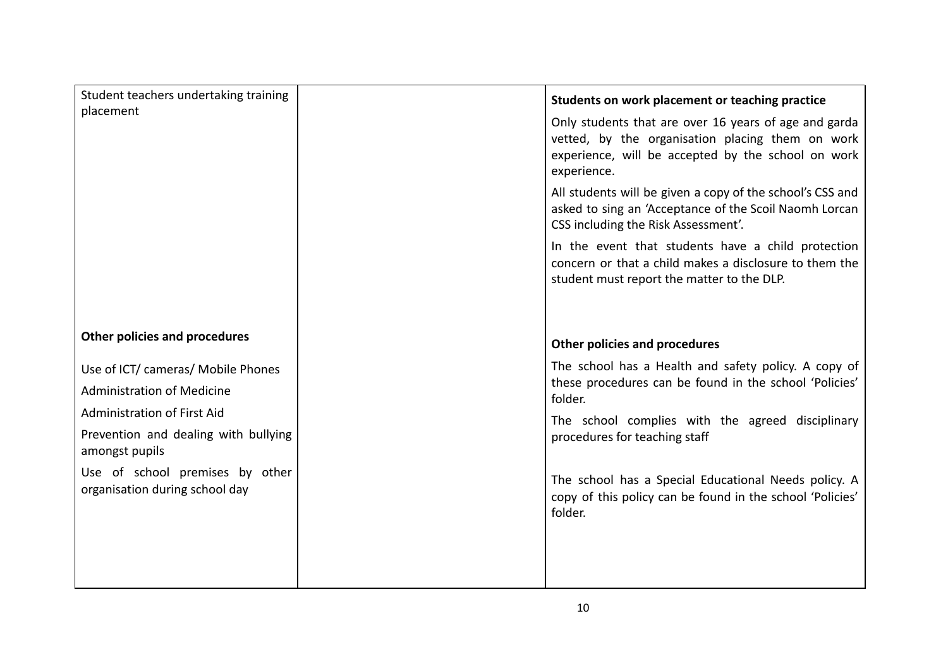| Student teachers undertaking training                                                                                                                                                                                                        | Students on work placement or teaching practice                                                                                                                                                                                                                                                                                                |
|----------------------------------------------------------------------------------------------------------------------------------------------------------------------------------------------------------------------------------------------|------------------------------------------------------------------------------------------------------------------------------------------------------------------------------------------------------------------------------------------------------------------------------------------------------------------------------------------------|
| placement                                                                                                                                                                                                                                    | Only students that are over 16 years of age and garda<br>vetted, by the organisation placing them on work<br>experience, will be accepted by the school on work<br>experience.                                                                                                                                                                 |
|                                                                                                                                                                                                                                              | All students will be given a copy of the school's CSS and<br>asked to sing an 'Acceptance of the Scoil Naomh Lorcan<br>CSS including the Risk Assessment'.                                                                                                                                                                                     |
|                                                                                                                                                                                                                                              | In the event that students have a child protection<br>concern or that a child makes a disclosure to them the<br>student must report the matter to the DLP.                                                                                                                                                                                     |
| <b>Other policies and procedures</b>                                                                                                                                                                                                         | <b>Other policies and procedures</b>                                                                                                                                                                                                                                                                                                           |
| Use of ICT/ cameras/ Mobile Phones<br><b>Administration of Medicine</b><br><b>Administration of First Aid</b><br>Prevention and dealing with bullying<br>amongst pupils<br>Use of school premises by other<br>organisation during school day | The school has a Health and safety policy. A copy of<br>these procedures can be found in the school 'Policies'<br>folder.<br>The school complies with the agreed disciplinary<br>procedures for teaching staff<br>The school has a Special Educational Needs policy. A<br>copy of this policy can be found in the school 'Policies'<br>folder. |
|                                                                                                                                                                                                                                              |                                                                                                                                                                                                                                                                                                                                                |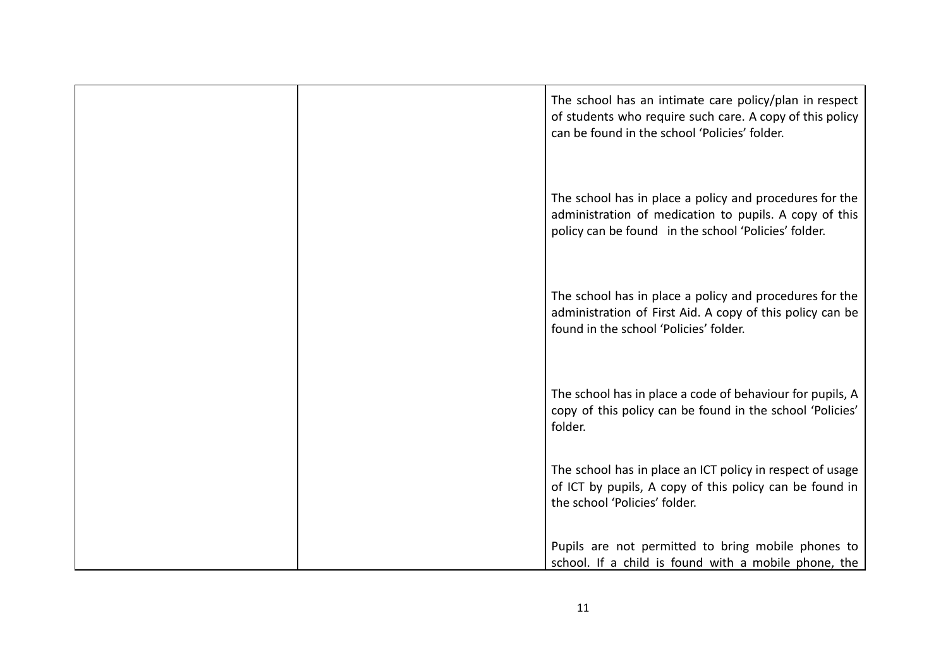| The school has an intimate care policy/plan in respect<br>of students who require such care. A copy of this policy<br>can be found in the school 'Policies' folder.       |
|---------------------------------------------------------------------------------------------------------------------------------------------------------------------------|
| The school has in place a policy and procedures for the<br>administration of medication to pupils. A copy of this<br>policy can be found in the school 'Policies' folder. |
| The school has in place a policy and procedures for the<br>administration of First Aid. A copy of this policy can be<br>found in the school 'Policies' folder.            |
| The school has in place a code of behaviour for pupils, A<br>copy of this policy can be found in the school 'Policies'<br>folder.                                         |
| The school has in place an ICT policy in respect of usage<br>of ICT by pupils, A copy of this policy can be found in<br>the school 'Policies' folder.                     |
| Pupils are not permitted to bring mobile phones to<br>school. If a child is found with a mobile phone, the                                                                |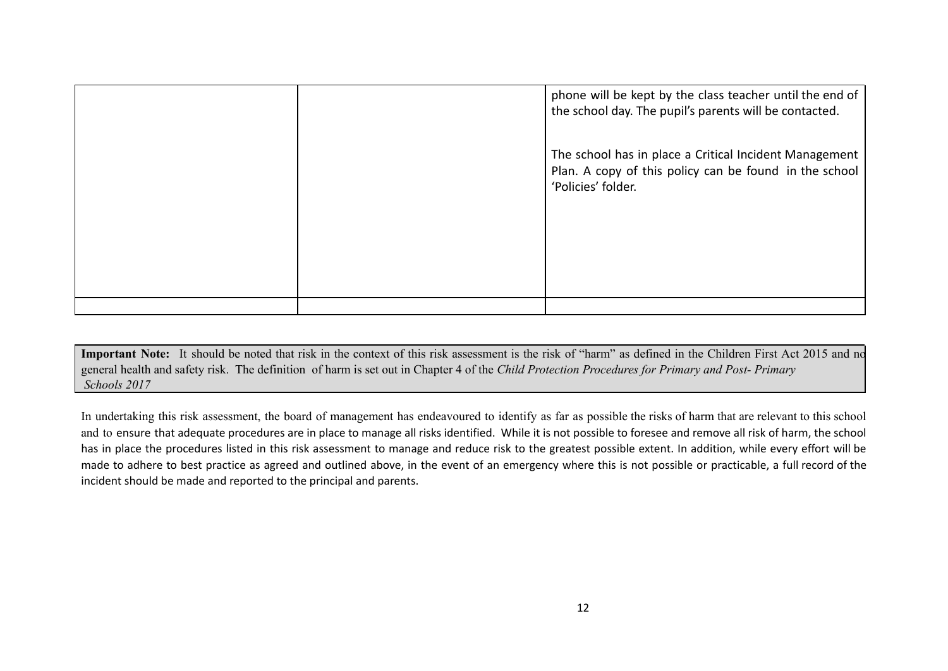|  | phone will be kept by the class teacher until the end of<br>the school day. The pupil's parents will be contacted.                     |
|--|----------------------------------------------------------------------------------------------------------------------------------------|
|  | The school has in place a Critical Incident Management<br>Plan. A copy of this policy can be found in the school<br>'Policies' folder. |
|  |                                                                                                                                        |
|  |                                                                                                                                        |

**Important Note:** It should be noted that risk in the context of this risk assessment is the risk of "harm" as defined in the Children First Act 2015 and no general health and safety risk. The definition of harm is set out in Chapter 4 of the *Child Protection Procedures for Primary and Post- Primary Schools 2017*

In undertaking this risk assessment, the board of management has endeavoured to identify as far as possible the risks of harm that are relevant to this school and to ensure that adequate procedures are in place to manage all risks identified. While it is not possible to foresee and remove all risk of harm, the school has in place the procedures listed in this risk assessment to manage and reduce risk to the greatest possible extent. In addition, while every effort will be made to adhere to best practice as agreed and outlined above, in the event of an emergency where this is not possible or practicable, a full record of the incident should be made and reported to the principal and parents.